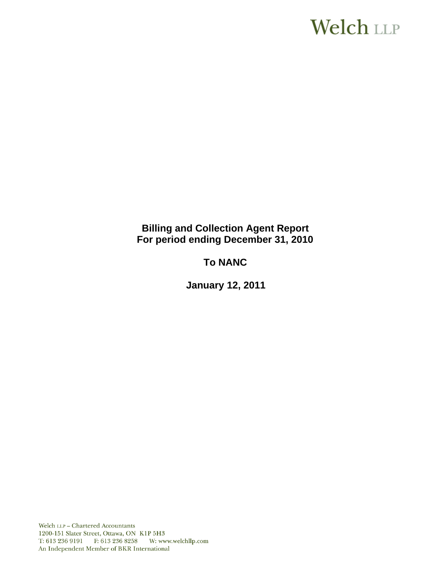# **Welch LLP**

# **Billing and Collection Agent Report For period ending December 31, 2010**

# **To NANC**

 **January 12, 2011**

Welch LLP - Chartered Accountants 1200-151 Slater Street, Ottawa, ON K1P 5H3 T: 613 236 9191 F: 613 236 8258 W: www.welchllp.com An Independent Member of BKR International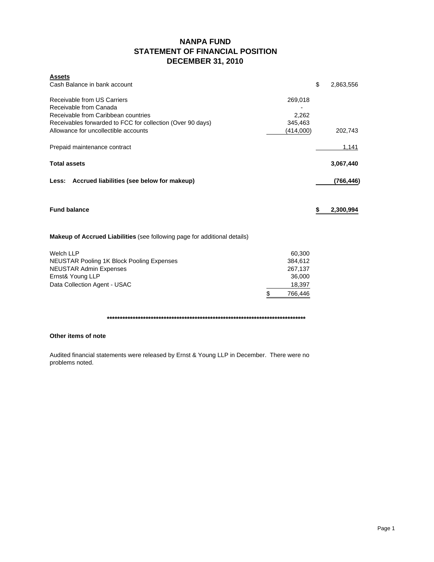# **NANPA FUND STATEMENT OF FINANCIAL POSITION DECEMBER 31, 2010**

| <b>Assets</b><br>Cash Balance in bank account                                    |         |           | \$<br>2,863,556 |
|----------------------------------------------------------------------------------|---------|-----------|-----------------|
| Receivable from US Carriers<br>Receivable from Canada                            | 269,018 |           |                 |
| Receivable from Caribbean countries                                              |         | 2,262     |                 |
| Receivables forwarded to FCC for collection (Over 90 days)                       |         | 345,463   |                 |
| Allowance for uncollectible accounts                                             |         | (414,000) | 202,743         |
| Prepaid maintenance contract                                                     |         |           | 1,141           |
| <b>Total assets</b>                                                              |         |           | 3,067,440       |
| Accrued liabilities (see below for makeup)<br>Less:                              |         |           | (766,446)       |
| <b>Fund balance</b>                                                              |         |           | \$<br>2,300,994 |
|                                                                                  |         |           |                 |
| <b>Makeup of Accrued Liabilities</b> (see following page for additional details) |         |           |                 |
| Welch LLP                                                                        |         | 60,300    |                 |
| <b>NEUSTAR Pooling 1K Block Pooling Expenses</b>                                 |         | 384,612   |                 |
| <b>NEUSTAR Admin Expenses</b>                                                    |         | 267,137   |                 |
| Ernst& Young LLP                                                                 |         | 36,000    |                 |
| Data Collection Agent - USAC                                                     |         | 18,397    |                 |
|                                                                                  | \$      | 766,446   |                 |

**\*\*\*\*\*\*\*\*\*\*\*\*\*\*\*\*\*\*\*\*\*\*\*\*\*\*\*\*\*\*\*\*\*\*\*\*\*\*\*\*\*\*\*\*\*\*\*\*\*\*\*\*\*\*\*\*\*\*\*\*\*\*\*\*\*\*\*\*\*\*\*\*\*\*\*\*\***

# **Other items of note**

Audited financial statements were released by Ernst & Young LLP in December. There were no problems noted.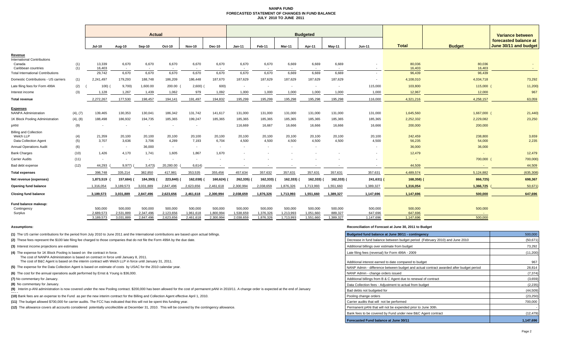#### **NANPA FUND FORECASTED STATEMENT OF CHANGES IN FUND BALANCEJULY 2010 TO JUNE 2011**

|                                                                            |            | <b>Actual</b>            |                          |                          |                          |                          |                 | <b>Budgeted</b>          |                          |                                   |                                   |                          |                          |                          |                   | Variance between                               |  |
|----------------------------------------------------------------------------|------------|--------------------------|--------------------------|--------------------------|--------------------------|--------------------------|-----------------|--------------------------|--------------------------|-----------------------------------|-----------------------------------|--------------------------|--------------------------|--------------------------|-------------------|------------------------------------------------|--|
|                                                                            |            | <b>Jul-10</b>            | Aug-10                   | <b>Sep-10</b>            | Oct-10                   | <b>Nov-10</b>            | <b>Dec-10</b>   | $Jan-11$                 | Feb-11                   | Mar-11                            | Apr-11                            | Mav-11                   | $Jun-11$                 | <b>Total</b>             | <b>Budget</b>     | forecasted balance at<br>June 30/11 and budget |  |
| Revenue<br><b>International Contributions</b>                              |            |                          |                          |                          |                          |                          |                 |                          |                          |                                   |                                   |                          |                          |                          |                   |                                                |  |
| Canada<br>Caribbean countries                                              | (1)<br>(1) | 13,339<br>16,403         | 6,670<br>$\sim$          | 6,670<br>$\sim$          | 6,670                    | 6,670<br>$\sim$          | 6,670           | 6,670<br>$\overline{a}$  | 6,670<br>$\sim$          | 6,669<br>$\overline{\phantom{a}}$ | 6,669<br>$\overline{\phantom{a}}$ | 6,669<br>$\sim$          |                          | 80,036<br>16,403         | 80,036<br>16,403  |                                                |  |
| <b>Total International Contributions</b>                                   |            | 29.742                   | 6,670                    | 6,670                    | 6,670                    | 6,670                    | 6,670           | 6,670                    | 6,670                    | 6,669                             | 6.669                             | 6,669                    | $\overline{\phantom{a}}$ | 96,439                   | 96,439            |                                                |  |
| Domestic Contributions - US carriers                                       | (1)        | 2,241,497                | 179,293                  | 188,748                  | 186,209                  | 186,448                  | 187,670         | 187,629                  | 187,629                  | 187,629                           | 187,629                           | 187,629                  |                          | 4,108,010                | 4,034,718         | 73,292                                         |  |
| Late filing fees for Form 499A                                             | (2)        | 100(                     | 9,700)                   | 1,600.00                 | 200.00                   | 2,600                    | 600)            | $\overline{\phantom{a}}$ | $\overline{\phantom{a}}$ |                                   | $\overline{\phantom{a}}$          | $\overline{\phantom{a}}$ | 115,000                  | 103,800                  | 115,000           | 11,200                                         |  |
| Interest income                                                            | (3)        | 1,128                    | 1,267                    | 1,439                    | 1,062                    | 979                      | 1,092           | 1,000                    | 1,000                    | 1,000                             | 1,000                             | 1,000                    | 1,000                    | 12,967                   | 12,000            | 967                                            |  |
| <b>Total revenue</b>                                                       |            | 2,272,267                | 177,530                  | 198,457                  | 194,141                  | 191,497                  | 194,832         | 195,299                  | 195,299                  | 195,298                           | 195,298                           | 195,298                  | 116,000                  | 4,321,216                | 4,258,157         | 63,059                                         |  |
| <b>Expenses</b>                                                            |            |                          |                          |                          |                          |                          |                 |                          |                          |                                   |                                   |                          |                          |                          |                   |                                                |  |
| <b>NANPA Administration</b>                                                | (4), (7)   | 139,465                  | 130,353                  | 130,041                  | 186,342                  | 131,742                  | 141,617         | 131,000                  | 131,000                  | 131,000                           | 131,000                           | 131,000                  | 131,000                  | 1,645,560                | 1,667,000         | 21,440)                                        |  |
| 1K Block Pooling Administration                                            | (4), (8)   | 188,498                  | 186,932                  | 194,735                  | 185,365                  | 199,247                  | 185,365         | 185,365                  | 185,365                  | 185,365                           | 185,365                           | 185,365                  | 185,365                  | 2,252,332                | 2,229,082         | 23,250                                         |  |
| pANI                                                                       | (9)        | $\overline{\phantom{a}}$ | $\overline{\phantom{a}}$ | $\sim$                   | $\overline{\phantom{a}}$ | $\overline{a}$           |                 | 116,669                  | 16,667                   | 16,666                            | 16,666                            | 16,666                   | 16,666                   | 200,000                  | 200,000           |                                                |  |
| <b>Billing and Collection</b><br>Welch LLP<br><b>Data Collection Agent</b> | (4)<br>(5) | 21,359<br>3,707          | 20,100<br>3,636          | 20,100<br>3,706          | 20,100<br>4,289          | 20,100<br>7,193          | 20,100<br>6,704 | 20,100<br>4,500          | 20,100<br>4,500          | 20,100<br>4,500                   | 20,100<br>4,500                   | 20,100<br>4,500          | 20,100<br>4,500          | 242,459<br>56,235        | 238,800<br>54,000 | 3,659<br>2,235                                 |  |
| <b>Annual Operations Audit</b>                                             | (6)        | $\sim$                   | $\sim$                   | 36,000                   | $\sim$                   | $\sim$                   | $\sim$          | $\sim$                   | $\overline{\phantom{a}}$ |                                   | $\overline{\phantom{a}}$          |                          |                          | 36,000                   | 36,000            |                                                |  |
| <b>Bank Charges</b>                                                        | (10)       | 1,426                    | 4,170                    | 1.741                    | 1,605                    | 1,867                    | 1.670           |                          |                          |                                   |                                   |                          |                          | 12,479                   | $\sim$            | 12,479                                         |  |
| <b>Carrier Audits</b>                                                      | (11)       | $\overline{\phantom{a}}$ | $\overline{\phantom{a}}$ | $\overline{\phantom{a}}$ |                          | $\overline{\phantom{a}}$ |                 |                          |                          |                                   |                                   |                          |                          | $\overline{\phantom{a}}$ | 700,000           | 700,000)                                       |  |
| Bad debt expense                                                           | (12)       | 44,293                   | 9,977)                   | 3,473)                   | 20,280.00                | 6,614)                   |                 |                          |                          |                                   |                                   |                          |                          | 44,509                   |                   | 44,509                                         |  |
| <b>Total expenses</b>                                                      |            | 398.748                  | 335,214                  | 382,850                  | 417,981                  | 353,535                  | 355,456         | 457,634                  | 357,632                  | 357,631                           | 357,631                           | 357,631                  | 357,631                  | 4,489,574                | 5,124,882         | (635, 308)                                     |  |
| Net revenue (expenses)                                                     |            | 1,873,519                | 157,684)                 | 184,393)                 | 223,840)                 | 162,038)                 | 160,624)        | 262,335)                 | 162,333)                 | 162,333)                          | 162,333)                          | 162,333) (               | 241,631)                 | 168,358)                 | 866,725)          | 698,367                                        |  |
| Opening fund balance                                                       |            | 1,316,054                | 3,189,573                | 3,031,889                | 2,847,496                | 2,623,656                | 2,461,618       | 2,300,994                | 2,038,659                | 1,876,326                         | 1,713,993                         | 1,551,660                | 1,389,327                | 1,316,054                | 1,366,725         | 50,671                                         |  |
| <b>Closing fund balance</b>                                                |            | 3,189,573                | 3,031,889                | 2,847,496                | 2,623,656                | 2,461,618                | 2,300,994       | 2,038,659                | 1,876,326                | 1,713,993                         | 1,551,660                         | 1,389,327                | 1,147,696                | 1,147,696                | 500,000           | 647,696                                        |  |
| Fund balance makeup:<br>Contingency                                        |            | 500,000                  | 500,000                  | 500,000                  | 500,000                  | 500,000                  | 500,000         | 500,000                  | 500,000                  | 500,000                           | 500,000                           | 500,000                  | 500,000                  | 500,000                  | 500,000           |                                                |  |
| Surplus                                                                    |            | 2,689,573                | 2,531,889                | 2,347,496                | 2,123,656                | 1,961,618                | 1,800,994       | 1,538,659                | 1,376,326                | 1,213,993                         | 1,051,660                         | 889,327                  | 647,696                  | 647,696                  |                   |                                                |  |
|                                                                            |            | 3,189,573                | 3,031,889                | 2,847,496                | 2.623.656                | 2,461,618                | 2,300,994       | 2,038,659                | 1,876,326                | 1,713,993                         | 1,551,660                         | 1,389,327                | 1,147,696                | 1,147,696                | 500,000           |                                                |  |

#### **Assumptions: Reconciliation of Forecast at June 30, 2011 to Budget**

| (1) The US carrier contributions for the period from July 2010 to June 2011 and the International contributions are based upon actual billings.                                                        | Budgeted fund balance at June 30/11 - contingency                                      | 500,000   |
|--------------------------------------------------------------------------------------------------------------------------------------------------------------------------------------------------------|----------------------------------------------------------------------------------------|-----------|
| (2) These fees represent the \$100 late filing fee charged to those companies that do not file the Form 499A by the due date.                                                                          | Decrease in fund balance between budget period (February 2010) and June 2010           | (50, 671) |
| (3) Interest income projections are estimates                                                                                                                                                          | Additional billings over estimate from budget                                          | 73,292    |
| (4) The expense for 1K Block Pooling is based on the contract in force.<br>The cost of NANPA Administration is based on contract in force until January 8, 2011.                                       | Late filing fees (reversal) for Form 499A - 2009                                       | (11,200)  |
| The cost of B&C Agent is based on the interim contract with Welch LLP in force until January 31, 2011.                                                                                                 | Additional interest earned to date compared to budget                                  | 967       |
| (5) The expense for the Data Collection Agent is based on estimate of costs by USAC for the 2010 calendar year.                                                                                        | NANP Admin - difference between budget and actual contract awarded after budget period | 28,814    |
| (6) The cost for the annual operations audit performed by Ernst & Young is \$36,000.                                                                                                                   | NANP Admin - change orders issued                                                      | (7, 374)  |
| (7) No commentary for January.                                                                                                                                                                         | Additional billings from B & C Agent due to renewal of contract                        | (3,659)   |
| (8) No commentary for January.                                                                                                                                                                         | Data Collection fees - Adjustment to actual from budget                                | (2, 235)  |
| (9) Interim p-ANI administration is now covered under the new Pooling contract. \$200,000 has been allowed for the cost of permanent pANI in 2010/11. A change order is expected at the end of January | Bad debts not budgeted for                                                             | (44, 509) |
| (10) Bank fees are an expense to the Fund as per the new interim contract for the Billing and Collection Agent effective April 1, 2010.                                                                | Pooling change orders                                                                  | (23, 250) |
| (11) The budget allowed \$700,000 for carrier audits. The FCC has indicated that this will not be spent this funding year.                                                                             | Carrier audits that will not be performed                                              | 700,000   |
| (12) The allowance covers all accounts considered potentially uncollectible at December 31, 2010. This will be covered by the contingency allowance.                                                   | Permanent pANi that will not be expended prior to June 30th.                           |           |
|                                                                                                                                                                                                        | Bank fees to be covered by Fund under new B&C Agent contract                           | (12, 479) |
|                                                                                                                                                                                                        | <b>Forecasted Fund balance at June 30/11</b>                                           | 1,147,696 |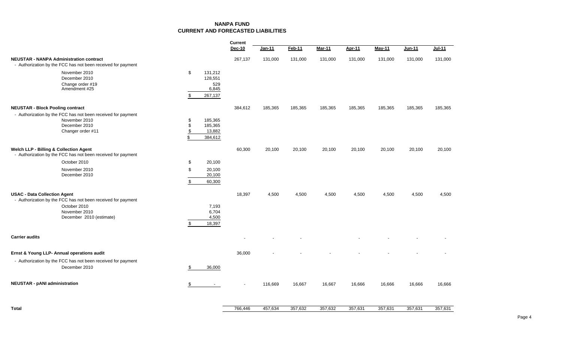# **NANPA FUNDCURRENT AND FORECASTED LIABILITIES**

|                                                                                                                     |                      |                                               | Current |         |               |         |               |               |         |          |
|---------------------------------------------------------------------------------------------------------------------|----------------------|-----------------------------------------------|---------|---------|---------------|---------|---------------|---------------|---------|----------|
|                                                                                                                     |                      |                                               | Dec-10  | Jan-11  | <b>Feb-11</b> | Mar-11  | <b>Apr-11</b> | <b>May-11</b> | Jun-11  | $Jul-11$ |
| <b>NEUSTAR - NANPA Administration contract</b><br>- Authorization by the FCC has not been received for payment      |                      |                                               | 267,137 | 131,000 | 131,000       | 131,000 | 131,000       | 131,000       | 131,000 | 131,000  |
| November 2010<br>December 2010<br>Change order #19<br>Amendment #25                                                 | \$<br>\$             | 131,212<br>128,551<br>529<br>6,845<br>267,137 |         |         |               |         |               |               |         |          |
| <b>NEUSTAR - Block Pooling contract</b>                                                                             |                      |                                               | 384,612 | 185,365 | 185,365       | 185,365 | 185,365       | 185,365       | 185,365 | 185,365  |
| - Authorization by the FCC has not been received for payment<br>November 2010<br>December 2010<br>Changer order #11 | \$<br>\$<br>\$<br>\$ | 185,365<br>185,365<br>13,882<br>384,612       |         |         |               |         |               |               |         |          |
| <b>Welch LLP - Billing &amp; Collection Agent</b><br>- Authorization by the FCC has not been received for payment   |                      |                                               | 60,300  | 20,100  | 20,100        | 20,100  | 20,100        | 20,100        | 20,100  | 20,100   |
| October 2010                                                                                                        | \$                   | 20,100                                        |         |         |               |         |               |               |         |          |
| November 2010<br>December 2010                                                                                      | \$<br>\$             | 20,100<br>20,100<br>60,300                    |         |         |               |         |               |               |         |          |
| <b>USAC - Data Collection Agent</b><br>- Authorization by the FCC has not been received for payment                 |                      |                                               | 18,397  | 4,500   | 4,500         | 4,500   | 4,500         | 4,500         | 4,500   | 4,500    |
| October 2010<br>November 2010<br>December 2010 (estimate)                                                           | \$                   | 7,193<br>6,704<br>4,500<br>18,397             |         |         |               |         |               |               |         |          |
| <b>Carrier audits</b>                                                                                               |                      |                                               |         |         |               |         |               |               |         |          |
| Ernst & Young LLP- Annual operations audit                                                                          |                      |                                               | 36,000  |         |               |         |               |               |         |          |
| - Authorization by the FCC has not been received for payment<br>December 2010                                       | \$                   | 36,000                                        |         |         |               |         |               |               |         |          |
| <b>NEUSTAR - pANI administration</b>                                                                                | \$                   | $\sim$                                        |         | 116,669 | 16,667        | 16,667  | 16,666        | 16,666        | 16,666  | 16,666   |
| <b>Total</b>                                                                                                        |                      |                                               | 766,446 | 457,634 | 357,632       | 357,632 | 357,631       | 357,631       | 357,631 | 357,631  |